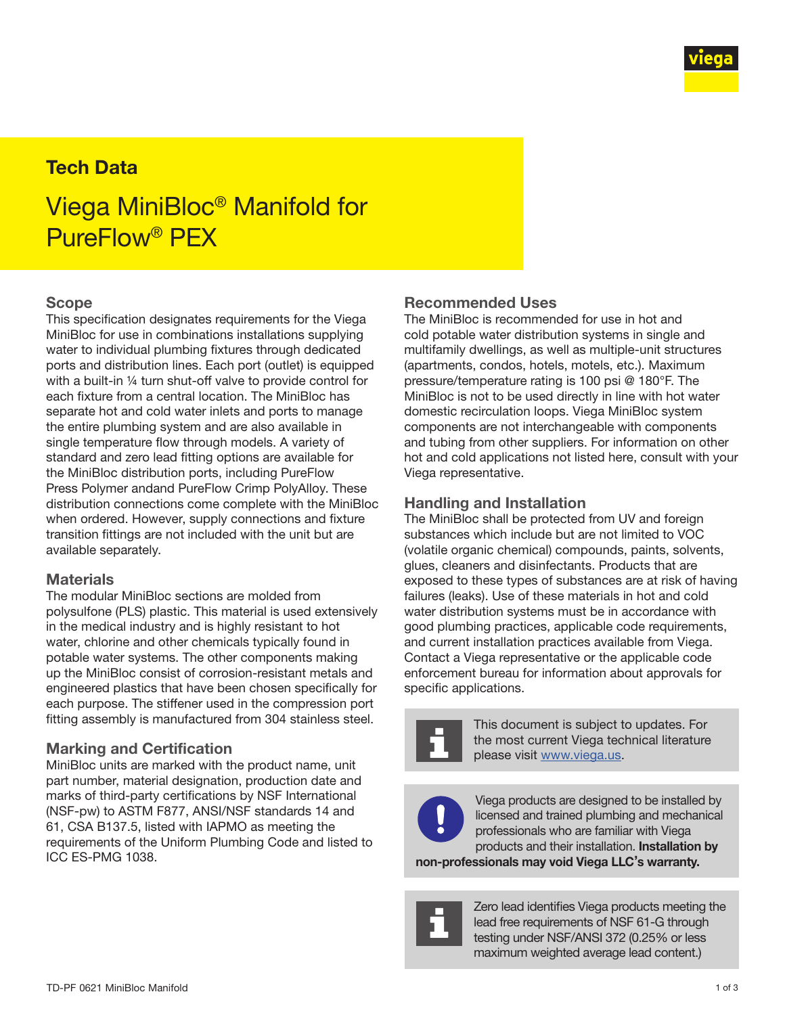

# Tech Data

# Viega MiniBloc® Manifold for PureFlow® PEX

## Scope

This specification designates requirements for the Viega MiniBloc for use in combinations installations supplying water to individual plumbing fixtures through dedicated ports and distribution lines. Each port (outlet) is equipped with a built-in ¼ turn shut-off valve to provide control for each fixture from a central location. The MiniBloc has separate hot and cold water inlets and ports to manage the entire plumbing system and are also available in single temperature flow through models. A variety of standard and zero lead fitting options are available for the MiniBloc distribution ports, including PureFlow Press Polymer andand PureFlow Crimp PolyAlloy. These distribution connections come complete with the MiniBloc when ordered. However, supply connections and fixture transition fittings are not included with the unit but are available separately.

#### **Materials**

The modular MiniBloc sections are molded from polysulfone (PLS) plastic. This material is used extensively in the medical industry and is highly resistant to hot water, chlorine and other chemicals typically found in potable water systems. The other components making up the MiniBloc consist of corrosion-resistant metals and engineered plastics that have been chosen specifically for each purpose. The stiffener used in the compression port fitting assembly is manufactured from 304 stainless steel.

#### Marking and Certification

MiniBloc units are marked with the product name, unit part number, material designation, production date and marks of third-party certifications by NSF International (NSF-pw) to ASTM F877, ANSI/NSF standards 14 and 61, CSA B137.5, listed with IAPMO as meeting the requirements of the Uniform Plumbing Code and listed to ICC ES-PMG 1038.

## Recommended Uses

The MiniBloc is recommended for use in hot and cold potable water distribution systems in single and multifamily dwellings, as well as multiple-unit structures (apartments, condos, hotels, motels, etc.). Maximum pressure/temperature rating is 100 psi @ 180°F. The MiniBloc is not to be used directly in line with hot water domestic recirculation loops. Viega MiniBloc system components are not interchangeable with components and tubing from other suppliers. For information on other hot and cold applications not listed here, consult with your Viega representative.

#### Handling and Installation

The MiniBloc shall be protected from UV and foreign substances which include but are not limited to VOC (volatile organic chemical) compounds, paints, solvents, glues, cleaners and disinfectants. Products that are exposed to these types of substances are at risk of having failures (leaks). Use of these materials in hot and cold water distribution systems must be in accordance with good plumbing practices, applicable code requirements, and current installation practices available from Viega. Contact a Viega representative or the applicable code enforcement bureau for information about approvals for specific applications.



This document is subject to updates. For the most current Viega technical literature please visit [www.viega.us.](http://www.viega.us)



Viega products are designed to be installed by licensed and trained plumbing and mechanical professionals who are familiar with Viega products and their installation. Installation by

non-professionals may void Viega LLC's warranty.



Zero lead identifies Viega products meeting the lead free requirements of NSF 61-G through testing under NSF/ANSI 372 (0.25% or less maximum weighted average lead content.)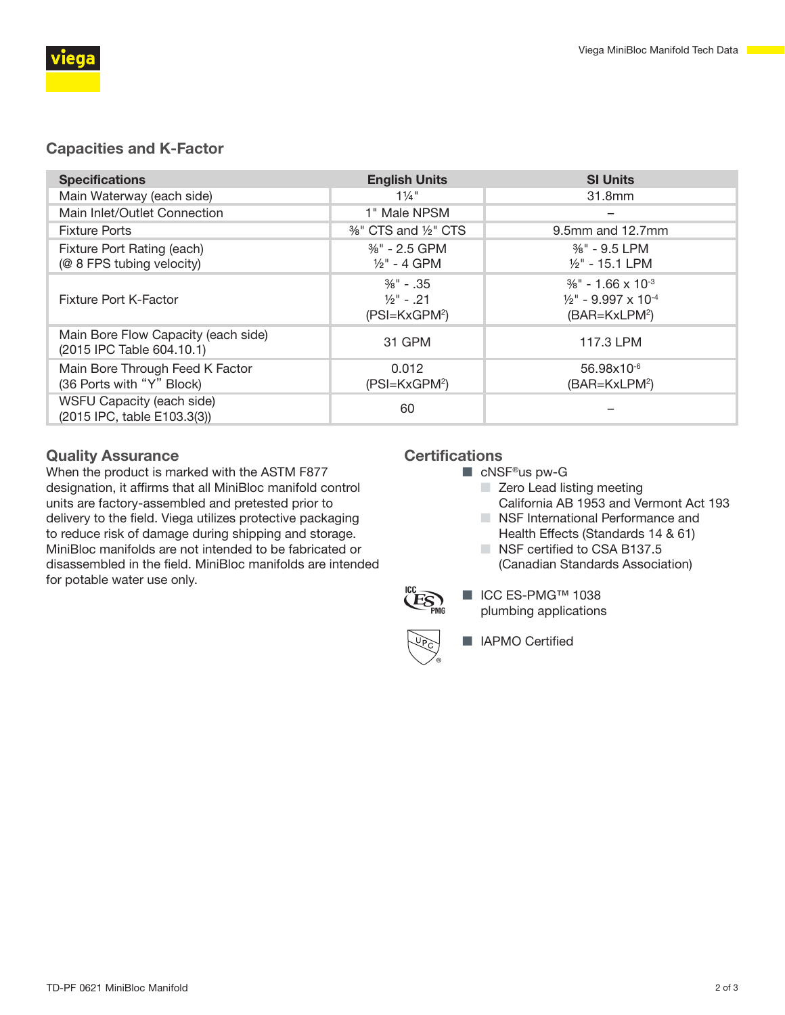

# Capacities and K-Factor

| <b>Specifications</b>                                            | <b>English Units</b>                                            | <b>SI Units</b>                                                                                              |
|------------------------------------------------------------------|-----------------------------------------------------------------|--------------------------------------------------------------------------------------------------------------|
| Main Waterway (each side)                                        | $1\frac{1}{4}$ "                                                | 31.8mm                                                                                                       |
| Main Inlet/Outlet Connection                                     | 1" Male NPSM                                                    |                                                                                                              |
| <b>Fixture Ports</b>                                             | $%$ CTS and $\frac{1}{2}$ CTS                                   | 9.5mm and 12.7mm                                                                                             |
| Fixture Port Rating (each)<br>(@ 8 FPS tubing velocity)          | $\frac{3}{8}$ " - 2.5 GPM<br>$\frac{1}{2}$ " - 4 GPM            | $\frac{3}{8}$ " - 9.5 LPM<br>$1/2$ " - 15.1 LPM                                                              |
| Fixture Port K-Factor                                            | $\frac{3}{8}$ " - 35<br>$\frac{1}{2}$ " - .21<br>$(PSI=KxGPM2)$ | $\frac{3}{8}$ " - 1.66 x 10 <sup>-3</sup><br>$1/2$ " - 9.997 x 10 <sup>-4</sup><br>(BAR=KxLPM <sup>2</sup> ) |
| Main Bore Flow Capacity (each side)<br>(2015 IPC Table 604.10.1) | 31 GPM                                                          | 117.3 LPM                                                                                                    |
| Main Bore Through Feed K Factor<br>(36 Ports with "Y" Block)     | 0.012<br>(PSI=KxGPM <sup>2</sup> )                              | $56.98\times10^{-6}$<br>(BAR=KxLPM <sup>2</sup> )                                                            |
| WSFU Capacity (each side)<br>(2015 IPC, table E103.3(3))         | 60                                                              |                                                                                                              |

## Quality Assurance

When the product is marked with the ASTM F877 designation, it affirms that all MiniBloc manifold control units are factory-assembled and pretested prior to delivery to the field. Viega utilizes protective packaging to reduce risk of damage during shipping and storage. MiniBloc manifolds are not intended to be fabricated or disassembled in the field. MiniBloc manifolds are intended for potable water use only.

## **Certifications**

- cNSF<sup>®</sup>us pw-G
	- Zero Lead listing meeting California AB 1953 and Vermont Act 193
	- NSF International Performance and
	- Health Effects (Standards 14 & 61)
	- NSF certified to CSA B137.5 (Canadian Standards Association)



■ ICC ES-PMG™ 1038 plumbing applications



■ IAPMO Certified